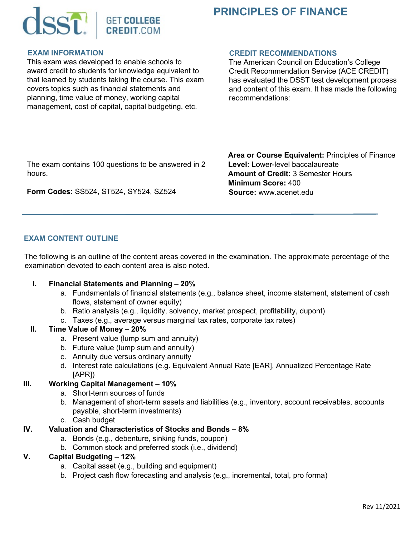

# **PRINCIPLES OF FINANCE**

#### **EXAM INFORMATION**

This exam was developed to enable schools to award credit to students for knowledge equivalent to that learned by students taking the course. This exam covers topics such as financial statements and planning, time value of money, working capital management, cost of capital, capital budgeting, etc.

#### **CREDIT RECOMMENDATIONS**

The American Council on Education's College Credit Recommendation Service (ACE CREDIT) has evaluated the DSST test development process and content of this exam. It has made the following recommendations:

The exam contains 100 questions to be answered in 2 hours.

**Form Codes:** SS524, ST524, SY524, SZ524

**Area or Course Equivalent:** Principles of Finance **Level:** Lower-level baccalaureate **Amount of Credit:** 3 Semester Hours **Minimum Score:** 400 **Source:** www.acenet.edu

## **EXAM CONTENT OUTLINE**

The following is an outline of the content areas covered in the examination. The approximate percentage of the examination devoted to each content area is also noted.

#### **I. Financial Statements and Planning – 20%**

- a. Fundamentals of financial statements (e.g., balance sheet, income statement, statement of cash flows, statement of owner equity)
- b. Ratio analysis (e.g., liquidity, solvency, market prospect, profitability, dupont)
- c. Taxes (e.g., average versus marginal tax rates, corporate tax rates)

#### **II. Time Value of Money – 20%**

- a. Present value (lump sum and annuity)
- b. Future value (lump sum and annuity)
- c. Annuity due versus ordinary annuity
- d. Interest rate calculations (e.g. Equivalent Annual Rate [EAR], Annualized Percentage Rate [APR])

## **III. Working Capital Management – 10%**

- a. Short-term sources of funds
- b. Management of short-term assets and liabilities (e.g., inventory, account receivables, accounts payable, short-term investments)
- c. Cash budget

## **IV. Valuation and Characteristics of Stocks and Bonds – 8%**

- a. Bonds (e.g., debenture, sinking funds, coupon)
- b. Common stock and preferred stock (i.e., dividend)

## **V. Capital Budgeting – 12%**

- a. Capital asset (e.g., building and equipment)
- b. Project cash flow forecasting and analysis (e.g., incremental, total, pro forma)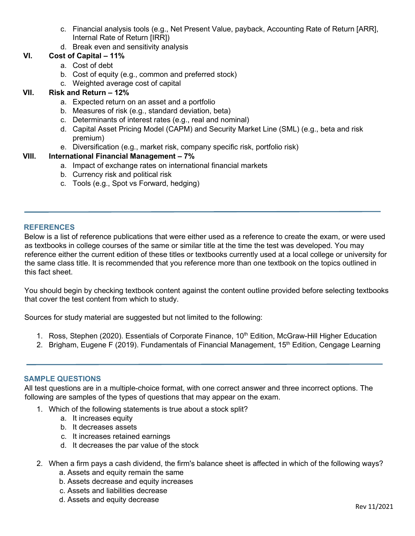- c. Financial analysis tools (e.g., Net Present Value, payback, Accounting Rate of Return [ARR], Internal Rate of Return [IRR])
- d. Break even and sensitivity analysis

## **VI. Cost of Capital – 11%**

- a. Cost of debt
- b. Cost of equity (e.g., common and preferred stock)
- c. Weighted average cost of capital

## **VII. Risk and Return – 12%**

- a. Expected return on an asset and a portfolio
- b. Measures of risk (e.g., standard deviation, beta)
- c. Determinants of interest rates (e.g., real and nominal)
- d. Capital Asset Pricing Model (CAPM) and Security Market Line (SML) (e.g., beta and risk premium)
- e. Diversification (e.g., market risk, company specific risk, portfolio risk)

## **VIII. International Financial Management – 7%**

- a. Impact of exchange rates on international financial markets
- b. Currency risk and political risk
- c. Tools (e.g., Spot vs Forward, hedging)

#### **REFERENCES**

Below is a list of reference publications that were either used as a reference to create the exam, or were used as textbooks in college courses of the same or similar title at the time the test was developed. You may reference either the current edition of these titles or textbooks currently used at a local college or university for the same class title. It is recommended that you reference more than one textbook on the topics outlined in this fact sheet.

You should begin by checking textbook content against the content outline provided before selecting textbooks that cover the test content from which to study.

Sources for study material are suggested but not limited to the following:

- 1. Ross, Stephen (2020). Essentials of Corporate Finance, 10<sup>th</sup> Edition, McGraw-Hill Higher Education
- 2. Brigham, Eugene F (2019). Fundamentals of Financial Management, 15<sup>th</sup> Edition, Cengage Learning

#### **SAMPLE QUESTIONS**

All test questions are in a multiple-choice format, with one correct answer and three incorrect options. The following are samples of the types of questions that may appear on the exam.

- 1. Which of the following statements is true about a stock split?
	- a. It increases equity
	- b. It decreases assets
	- c. It increases retained earnings
	- d. It decreases the par value of the stock
- 2. When a firm pays a cash dividend, the firm's balance sheet is affected in which of the following ways?
	- a. Assets and equity remain the same
	- b. Assets decrease and equity increases
	- c. Assets and liabilities decrease
	- d. Assets and equity decrease